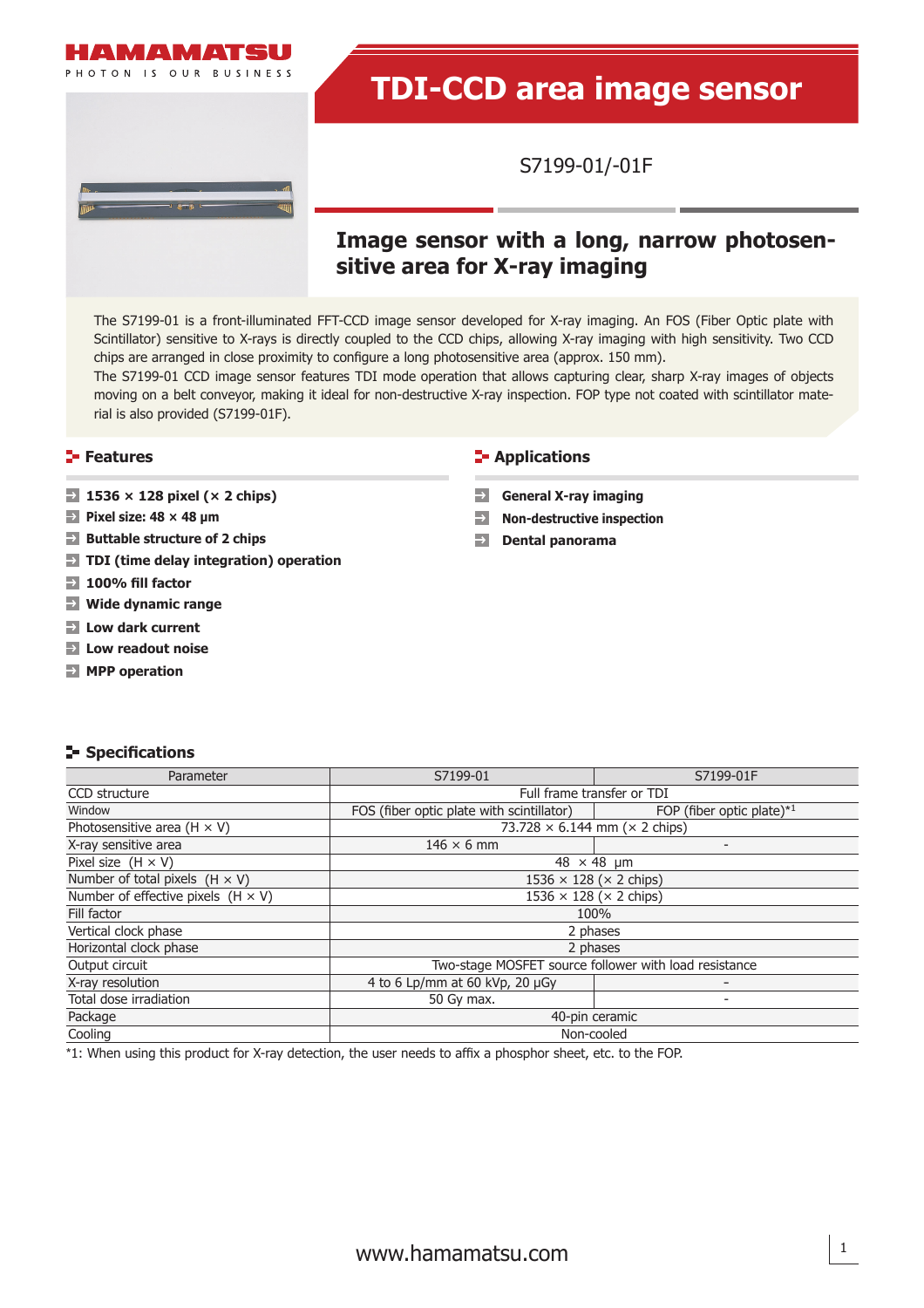

# **TDI-CCD area image sensor**

S7199-01/-01F

# **Image sensor with a long, narrow photosensitive area for X-ray imaging**

The S7199-01 is a front-illuminated FFT-CCD image sensor developed for X-ray imaging. An FOS (Fiber Optic plate with Scintillator) sensitive to X-rays is directly coupled to the CCD chips, allowing X-ray imaging with high sensitivity. Two CCD chips are arranged in close proximity to configure a long photosensitive area (approx. 150 mm).

The S7199-01 CCD image sensor features TDI mode operation that allows capturing clear, sharp X-ray images of objects moving on a belt conveyor, making it ideal for non-destructive X-ray inspection. FOP type not coated with scintillator material is also provided (S7199-01F).

- **1536 × 128 pixel (× 2 chips) General X-ray imaging**
- **Pixel size: 48 × 48 μm**
- **Buttable structure of 2 chips**
- **TDI (time delay integration) operation**
- **100% fi ll factor**
- **Wide dynamic range**
- **Low dark current**
- **Low readout noise**
- **MPP operation**

#### **Features Contractions Contractions**

- 
- **Non-destructive inspection**
- **Dental panorama**  $\rightarrow$

#### **Specifi cations**

| Parameter                                 | S7199-01                                          | S7199-01F                                             |  |  |
|-------------------------------------------|---------------------------------------------------|-------------------------------------------------------|--|--|
| CCD structure                             | Full frame transfer or TDI                        |                                                       |  |  |
| Window                                    | FOS (fiber optic plate with scintillator)         | FOP (fiber optic plate) $*1$                          |  |  |
| Photosensitive area $(H \times V)$        | 73.728 $\times$ 6.144 mm ( $\times$ 2 chips)      |                                                       |  |  |
| X-ray sensitive area                      | $146 \times 6$ mm                                 | $\overline{\phantom{0}}$                              |  |  |
| Pixel size $(H \times V)$                 | $48 \times 48$ µm                                 |                                                       |  |  |
| Number of total pixels $(H \times V)$     | $1536 \times 128$ ( $\times$ 2 chips)             |                                                       |  |  |
| Number of effective pixels $(H \times V)$ | $1536 \times 128$ ( $\times$ 2 chips)             |                                                       |  |  |
| Fill factor                               | 100%                                              |                                                       |  |  |
| Vertical clock phase                      | 2 phases                                          |                                                       |  |  |
| Horizontal clock phase                    | 2 phases                                          |                                                       |  |  |
| Output circuit                            |                                                   | Two-stage MOSFET source follower with load resistance |  |  |
| X-ray resolution                          | 4 to 6 Lp/mm at 60 kVp, 20 µGy<br>$\qquad \qquad$ |                                                       |  |  |
| Total dose irradiation                    | 50 Gy max.<br>٠                                   |                                                       |  |  |
| Package                                   | 40-pin ceramic                                    |                                                       |  |  |
| Cooling                                   | Non-cooled                                        |                                                       |  |  |

\*1: When using this product for X-ray detection, the user needs to affix a phosphor sheet, etc. to the FOP.

1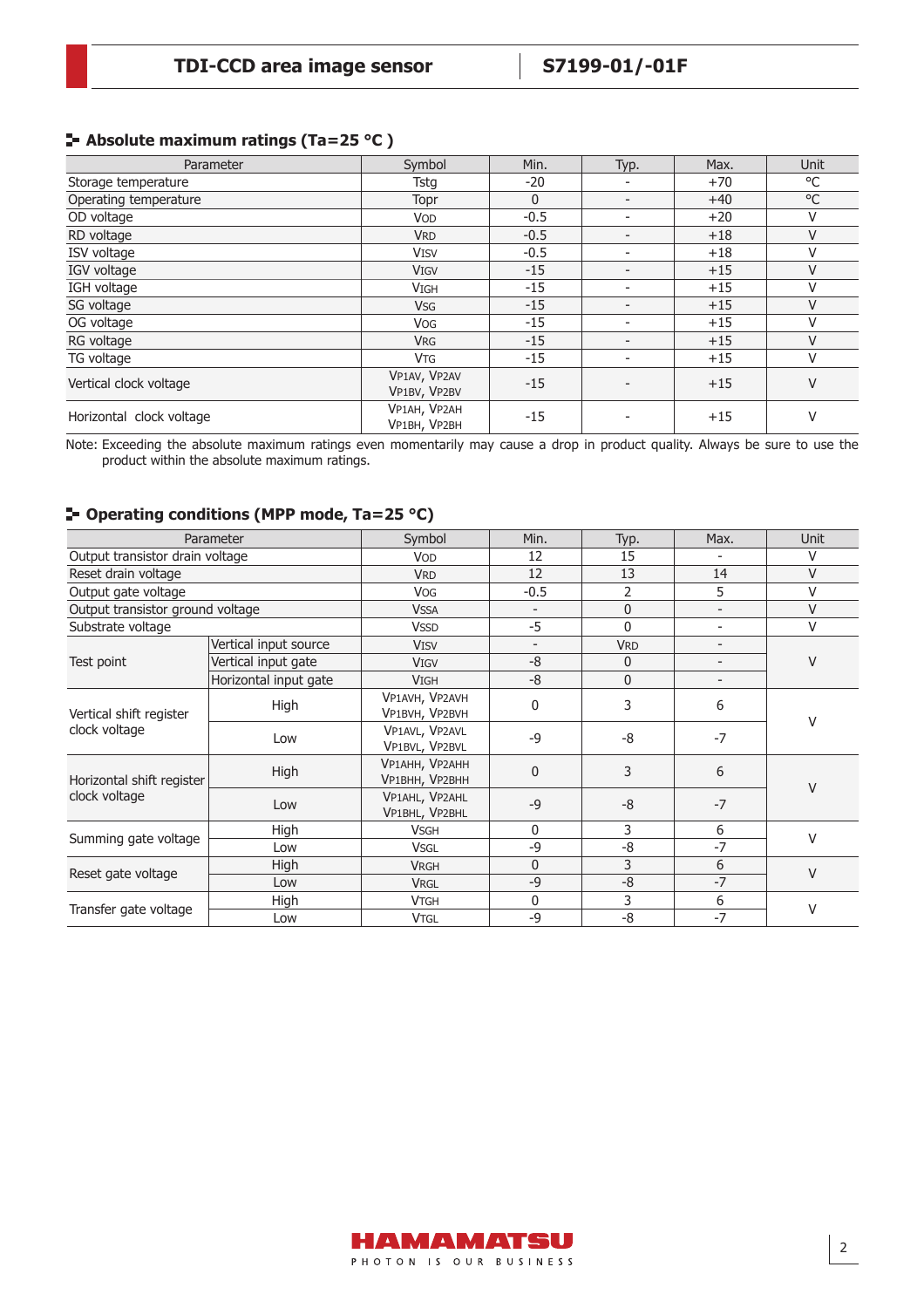#### **Absolute maximum ratings (Ta=25 °C )**

| Parameter                | Symbol                       | Min.         | Typ.                     | Max.  | Unit   |
|--------------------------|------------------------------|--------------|--------------------------|-------|--------|
| Storage temperature      | Tstg                         | $-20$        |                          | $+70$ | °C     |
| Operating temperature    | Topr                         | $\mathbf{0}$ | $\overline{\phantom{a}}$ | $+40$ | °C     |
| OD voltage               | <b>VOD</b>                   | $-0.5$       |                          | $+20$ | V      |
| RD voltage               | <b>VRD</b>                   | $-0.5$       | $\overline{\phantom{0}}$ | $+18$ | V      |
| ISV voltage              | <b>VISV</b>                  | $-0.5$       | $\overline{\phantom{0}}$ | $+18$ | V      |
| IGV voltage              | <b>VIGV</b>                  | $-15$        | -                        | $+15$ | V      |
| IGH voltage              | <b>VIGH</b>                  | $-15$        | $\overline{\phantom{0}}$ | $+15$ | V      |
| SG voltage               | <b>VSG</b>                   | $-15$        | -                        | $+15$ | $\vee$ |
| OG voltage               | <b>VOG</b>                   | $-15$        | $\overline{\phantom{0}}$ | $+15$ | V      |
| RG voltage               | <b>VRG</b>                   | $-15$        | $\overline{\phantom{0}}$ | $+15$ | V      |
| TG voltage               | <b>VTG</b>                   | $-15$        |                          | $+15$ | V      |
| Vertical clock voltage   | VP1AV, VP2AV<br>VP1BV, VP2BV | $-15$        |                          | $+15$ | $\vee$ |
| Horizontal clock voltage | VP1AH, VP2AH<br>VP1BH, VP2BH | $-15$        |                          | $+15$ | V      |

Note: Exceeding the absolute maximum ratings even momentarily may cause a drop in product quality. Always be sure to use the product within the absolute maximum ratings.

### **Operating conditions (MPP mode, Ta=25 °C)**

|                                            | Parameter             | Symbol                           | Min.                     | Typ.           | Max.                     | Unit   |  |
|--------------------------------------------|-----------------------|----------------------------------|--------------------------|----------------|--------------------------|--------|--|
| Output transistor drain voltage            |                       | <b>VOD</b>                       | 12                       | 15             |                          | V      |  |
| Reset drain voltage                        |                       | <b>VRD</b>                       | 12                       | 13             | 14                       | V      |  |
| Output gate voltage                        |                       | <b>VOG</b>                       | $-0.5$                   | $\overline{2}$ | 5                        | V      |  |
| Output transistor ground voltage           |                       | <b>VSSA</b>                      |                          | $\mathbf{0}$   |                          | V      |  |
| Substrate voltage                          |                       | <b>VSSD</b>                      | $-5$                     | $\mathbf{0}$   |                          | $\vee$ |  |
|                                            | Vertical input source | <b>VISV</b>                      | $\overline{\phantom{a}}$ | <b>VRD</b>     | $\overline{\phantom{a}}$ |        |  |
| Test point                                 | Vertical input gate   | <b>VIGV</b>                      | $-8$                     | $\Omega$       | $\overline{a}$           | V      |  |
|                                            | Horizontal input gate | <b>VIGH</b>                      | $-8$                     | $\mathbf 0$    |                          |        |  |
| Vertical shift register<br>clock voltage   | High                  | VP1AVH, VP2AVH<br>VP1BVH, VP2BVH | 0                        | 3              | 6                        | V      |  |
|                                            | Low                   | VP1AVL, VP2AVL<br>VP1BVL, VP2BVL | $-9$                     | -8             | $-7$                     |        |  |
| Horizontal shift register<br>clock voltage | High                  | VP1AHH, VP2AHH<br>VP1BHH, VP2BHH | 0                        | 3              | 6                        | V      |  |
|                                            | Low                   | VP1AHL, VP2AHL<br>VP1BHL, VP2BHL | $-9$                     | $-8$           | $-7$                     |        |  |
|                                            | High                  | <b>VSGH</b>                      | 0                        | 3              | 6                        | V      |  |
| Summing gate voltage                       | Low                   | <b>VSGL</b>                      | $-9$                     | -8             | $-7$                     |        |  |
|                                            | High                  | <b>VRGH</b>                      | 0                        | 3              | 6                        | V      |  |
| Reset gate voltage                         | Low                   | <b>VRGL</b>                      | $-9$                     | $-8$           | $-7$                     |        |  |
| Transfer gate voltage                      | High                  | <b>VTGH</b>                      | 0                        | 3              | 6                        | $\vee$ |  |
|                                            | Low                   | <b>VTGL</b>                      | $-9$                     | $-8$           | $-7$                     |        |  |

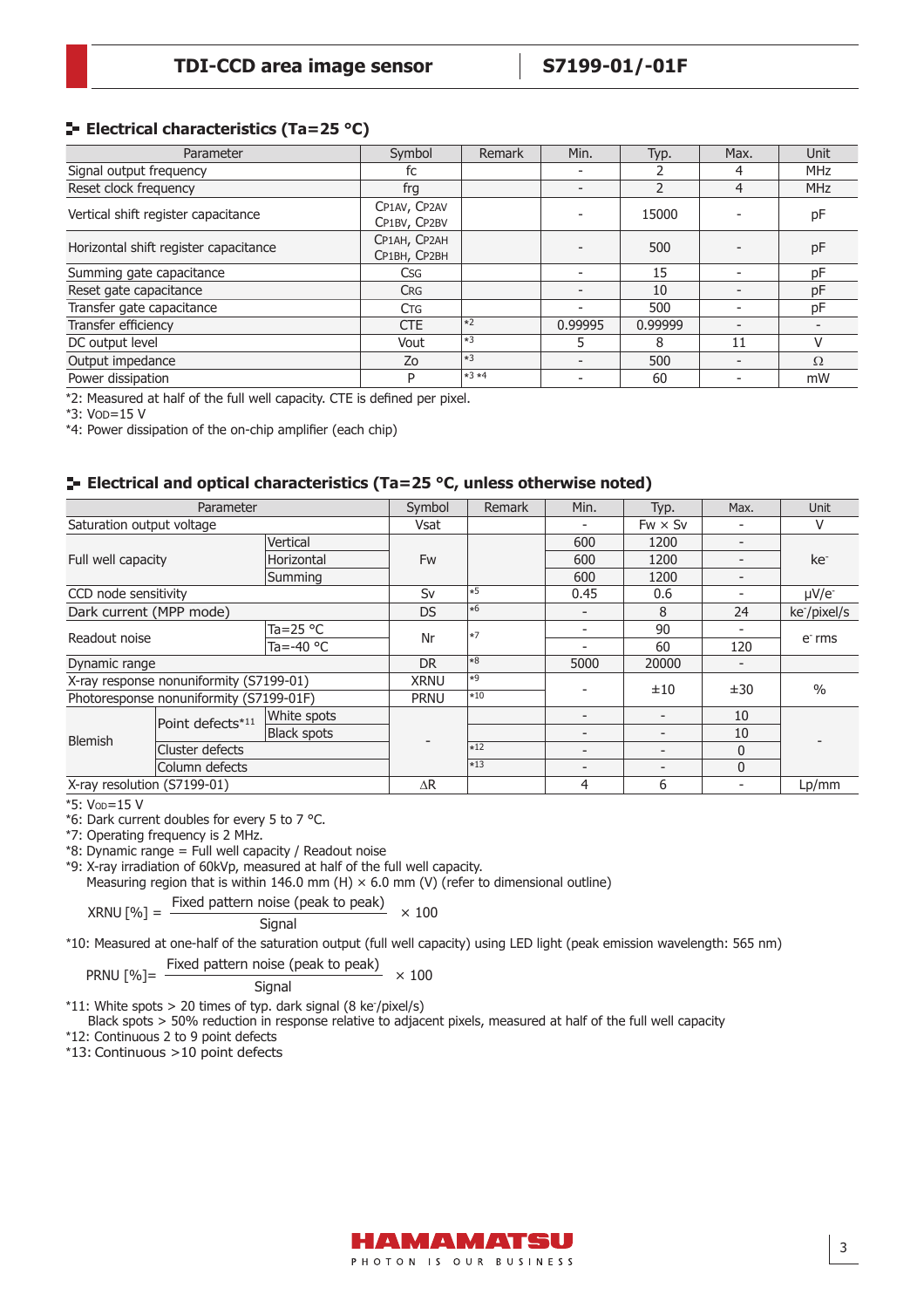#### **Electrical characteristics (Ta=25 °C)**

| Parameter                             | Symbol                       | Remark             | Min.                     | Typ.    | Max.                     | Unit       |
|---------------------------------------|------------------------------|--------------------|--------------------------|---------|--------------------------|------------|
| Signal output frequency               | fc                           |                    |                          |         | 4                        | <b>MHz</b> |
| Reset clock frequency                 | frg                          |                    | $\overline{\phantom{a}}$ |         | 4                        | <b>MHz</b> |
| Vertical shift register capacitance   | CP1AV, CP2AV<br>CP1BV, CP2BV |                    |                          | 15000   |                          | рF         |
| Horizontal shift register capacitance | CP1AH, CP2AH<br>CP1BH, CP2BH |                    |                          | 500     |                          | рF         |
| Summing gate capacitance              | <b>Csg</b>                   |                    | $\overline{\phantom{0}}$ | 15      | ۰                        | pF         |
| Reset gate capacitance                | <b>CRG</b>                   |                    | $\overline{\phantom{a}}$ | 10      |                          | pF         |
| Transfer gate capacitance             | <b>CTG</b>                   |                    | $\overline{\phantom{a}}$ | 500     |                          | рF         |
| Transfer efficiency                   | <b>CTE</b>                   | $\vert *2 \rangle$ | 0.99995                  | 0.99999 | $\overline{\phantom{0}}$ |            |
| DC output level                       | Vout                         | $*3$               | 5                        | 8       | 11                       |            |
| Output impedance                      | Zo                           | $ *3$              | $\overline{\phantom{a}}$ | 500     | -                        | $\Omega$   |
| Power dissipation                     | P                            | $*3*4$             |                          | 60      | $\overline{\phantom{0}}$ | mW         |

\*2: Measured at half of the full well capacity. CTE is defined per pixel.

\*3: VOD=15 V

\*4: Power dissipation of the on-chip amplifier (each chip)

#### **Electrical and optical characteristics (Ta=25 °C, unless otherwise noted)**

| Parameter                   |                                         | Symbol             | Remark      | Min.              | Typ.                     | Max.                     | Unit            |                          |
|-----------------------------|-----------------------------------------|--------------------|-------------|-------------------|--------------------------|--------------------------|-----------------|--------------------------|
| Saturation output voltage   |                                         |                    | Vsat        |                   |                          | $Fw \times Sv$           |                 | v                        |
|                             |                                         | Vertical           |             |                   | 600                      | 1200                     |                 |                          |
| Full well capacity          | Horizontal                              | Fw                 |             | 600               | 1200                     |                          | ke <sup>-</sup> |                          |
|                             |                                         | Summing            |             |                   | 600                      | 1200                     |                 |                          |
| CCD node sensitivity        |                                         |                    | Sv          | $\left *5\right $ | 0.45                     | 0.6                      |                 | $\mu$ V/e-               |
| Dark current (MPP mode)     |                                         |                    | DS.         | $\ast$ 6          |                          | 8                        | 24              | ke <sup>-</sup> /pixel/s |
|                             |                                         | Ta=25 $\degree$ C  | Nr          | $\vert *7$        |                          | 90                       |                 | $e-$ rms                 |
| Readout noise               | Ta=-40 $\degree$ C                      |                    |             |                   | 60                       | 120                      |                 |                          |
| Dynamic range               |                                         | DR.                | $*8$        | 5000              | 20000                    |                          |                 |                          |
|                             | X-ray response nonuniformity (S7199-01) |                    | <b>XRNU</b> | $*9$              |                          |                          |                 | $\frac{0}{0}$            |
|                             | Photoresponse nonuniformity (S7199-01F) |                    | <b>PRNU</b> | $*10$             |                          | ±10                      | ±30             |                          |
|                             | Point defects*11                        | White spots        |             |                   |                          | $\overline{\phantom{0}}$ | 10              |                          |
| <b>Blemish</b>              |                                         | <b>Black spots</b> |             |                   |                          |                          | 10              |                          |
|                             | Cluster defects                         |                    |             | $*12$             | $\overline{\phantom{a}}$ |                          | 0               |                          |
| Column defects              |                                         |                    |             | $\vert *13 \vert$ | $\overline{\phantom{a}}$ | -                        | 0               |                          |
| X-ray resolution (S7199-01) |                                         |                    | $\Delta R$  |                   | 4                        | 6                        |                 | Lp/mm                    |

\*5: VOD=15 V

\*6: Dark current doubles for every 5 to 7 °C.

\*7: Operating frequency is 2 MHz.

\*8: Dynamic range = Full well capacity / Readout noise

\*9: X-ray irradiation of 60kVp, measured at half of the full well capacity.

Measuring region that is within 146.0 mm (H)  $\times$  6.0 mm (V) (refer to dimensional outline)

$$
XRNU [%] = \frac{Fixed pattern noise (peak to peak)}{8000} \times 100
$$

Signal

\*10: Measured at one-half of the saturation output (full well capacity) using LED light (peak emission wavelength: 565 nm)

PRNU [%]=  $\frac{\text{Fixed pattern noise (peak to peak)}}{\text{Signal}} \times 100$ 

 $*11$ : White spots  $> 20$  times of typ. dark signal (8 ke<sup>-</sup>/pixel/s)

Black spots > 50% reduction in response relative to adjacent pixels, measured at half of the full well capacity

\*12: Continuous 2 to 9 point defects

\*13: Continuous >10 point defects

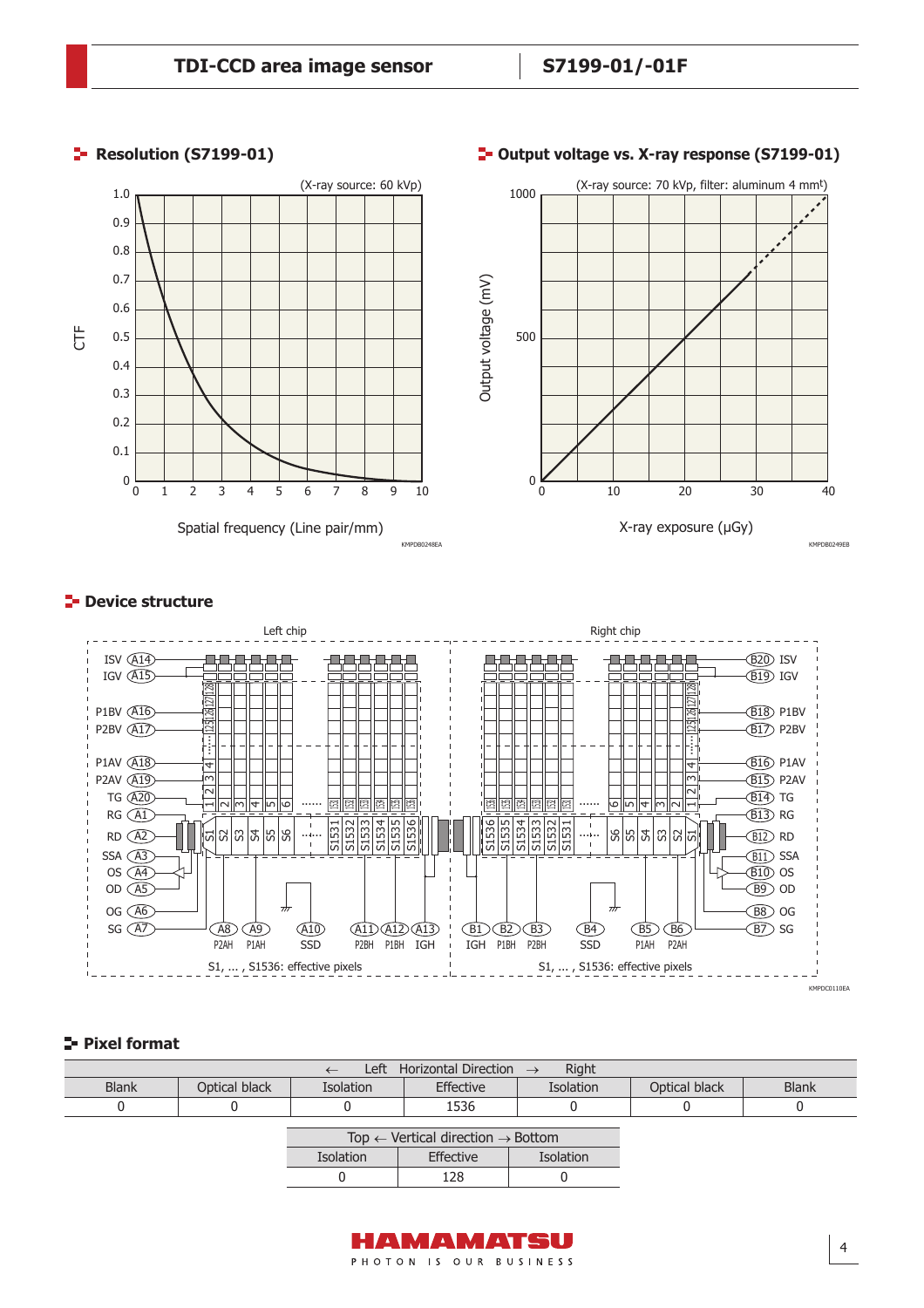#### (X-ray source: 60 kVp) (X-ray source: 70 kVp, filter: aluminum 4 mmt) 1.0 1000 0.9 0.8 0.7 Output voltage (mV) Output voltage (mV) 0.6 CTF 0.5 500 0.4 0.3 0.2 0.1  $\Omega$  $0\frac{L}{0}$ 1 2 3 4 5 6 7 8 9 10  $\Omega$ 10 20 30 40 Spatial frequency (Line pair/mm) X-ray exposure (µGy) KMPDB0248EA KMPDB0249EB

## **Resolution (S7199-01) Consumersion CFT** and **CFT** and **CFT** and **CFT** and **CFT** and **CFT** and **CFT** and **CFT** and **CFT** and **CFT** and **CFT** and **CFT** and **CFT** and **CFT** and **CFT** and **CFT** and **CFT** and **CFT** and **CFT**

### **P** Device structure



#### **Pixel format**

| Left Horizontal Direction $\rightarrow$<br>Right |               |                  |                                                          |                  |               |              |  |
|--------------------------------------------------|---------------|------------------|----------------------------------------------------------|------------------|---------------|--------------|--|
| <b>Blank</b>                                     | Optical black | <b>Isolation</b> | Effective                                                | <b>Isolation</b> | Optical black | <b>Blank</b> |  |
|                                                  |               |                  | 1536                                                     |                  |               |              |  |
|                                                  |               |                  | Top $\leftarrow$ Vertical direction $\rightarrow$ Bottom |                  |               |              |  |
|                                                  |               | <b>Isolation</b> | Effective                                                | Isolation        |               |              |  |
|                                                  |               |                  | 128                                                      |                  |               |              |  |

AMAMATSU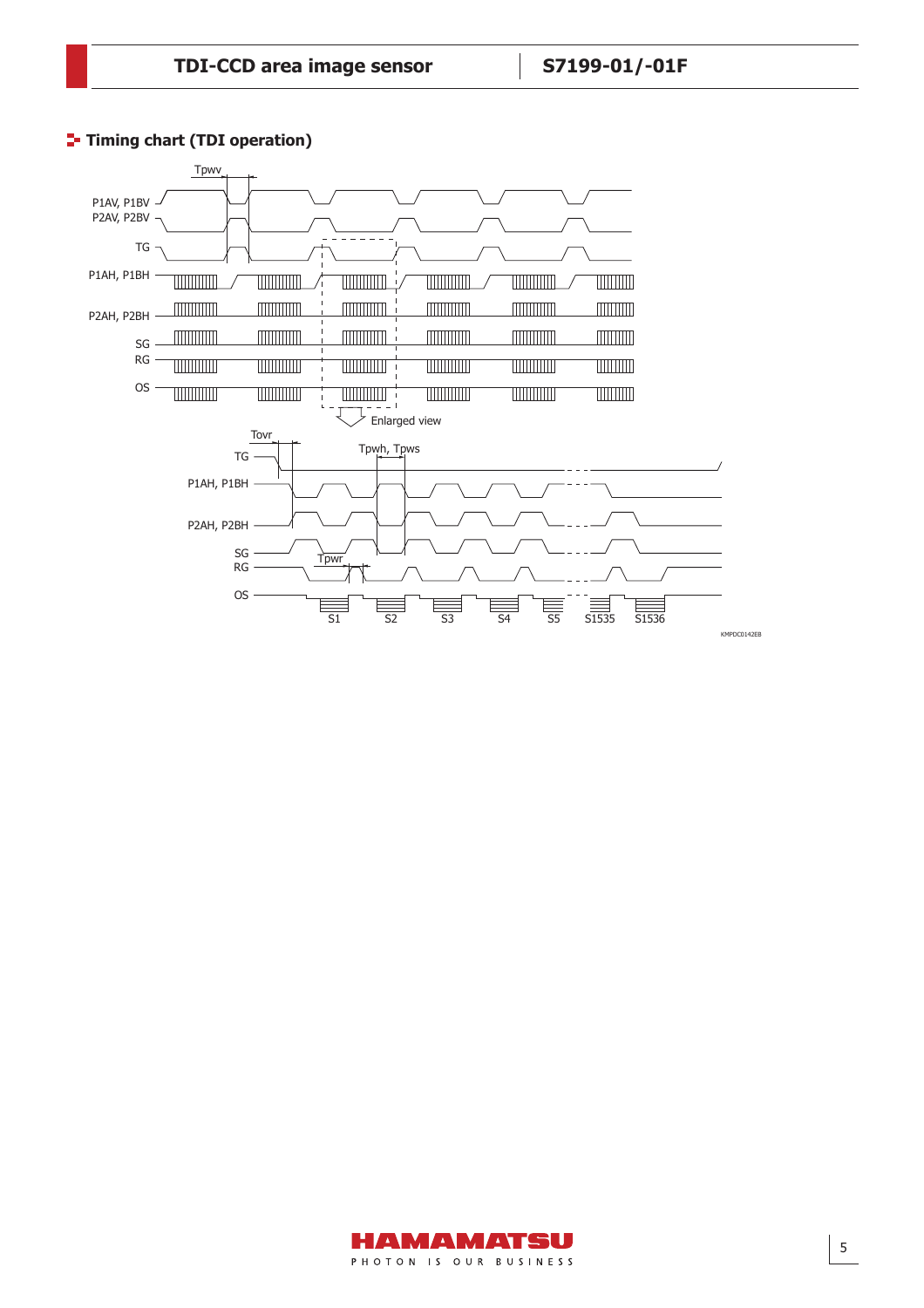

## **T**- Timing chart (TDI operation)

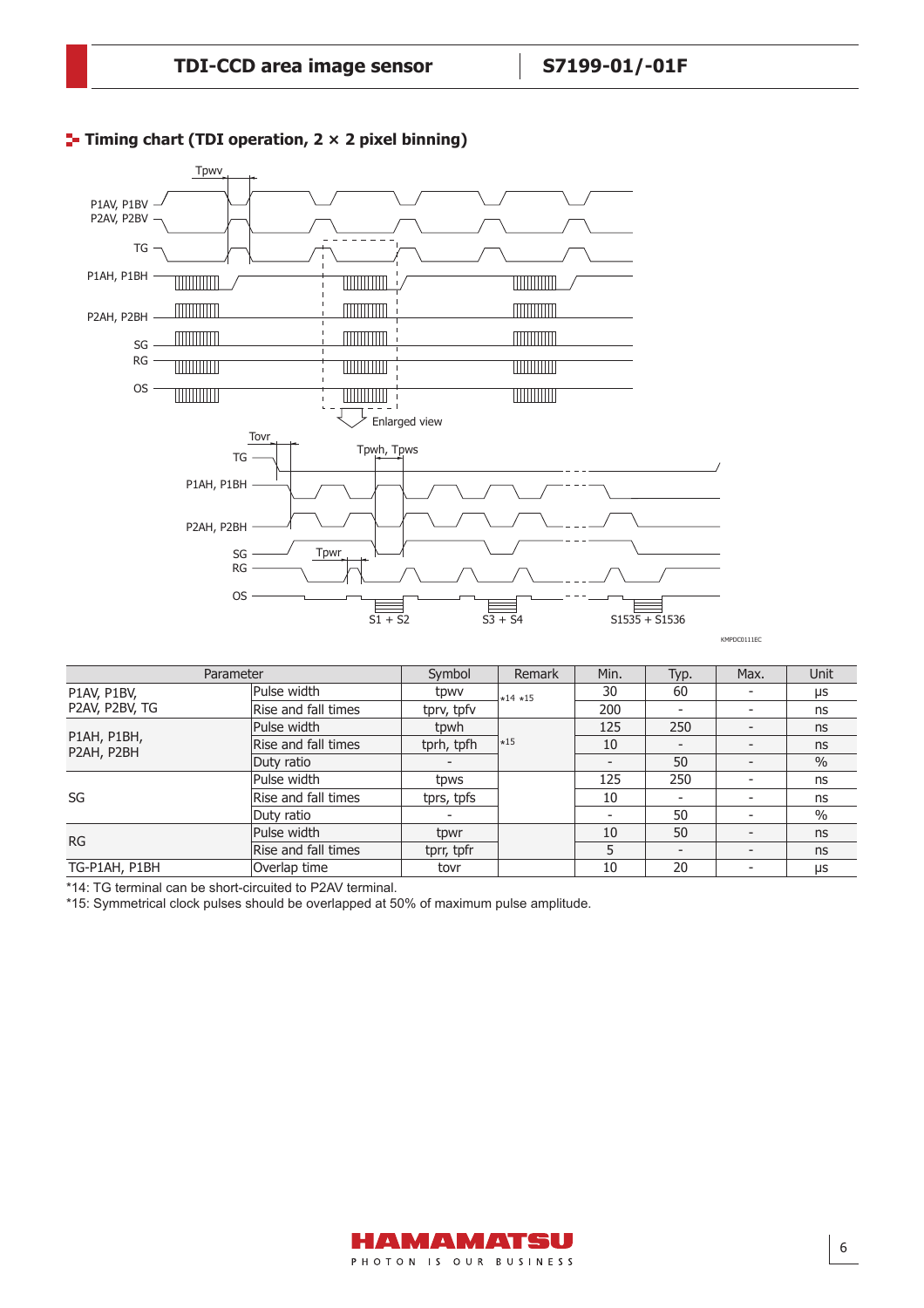

# **Timing chart (TDI operation, 2 × 2 pixel binning)**

| Parameter                 | Symbol              | <b>Remark</b>            | Min.       | Typ.                     | Max.                     | Unit |               |
|---------------------------|---------------------|--------------------------|------------|--------------------------|--------------------------|------|---------------|
| P1AV, P1BV,               | Pulse width         | tpwy                     | $*14 *15$  | 30                       | 60                       |      | μs            |
| P2AV, P2BV, TG            | Rise and fall times | tprv, tpfv               |            | 200                      |                          |      | ns            |
| P1AH, P1BH,<br>P2AH, P2BH | Pulse width         | tpwh                     |            | 125                      | 250                      |      | ns            |
|                           | Rise and fall times | tprh, tpfh               | $\star$ 15 | 10                       | $\overline{\phantom{0}}$ |      | ns            |
|                           | Duty ratio          | $\overline{\phantom{a}}$ |            | $\overline{\phantom{a}}$ | 50                       |      | $\frac{0}{0}$ |
|                           | Pulse width         | tpws                     |            | 125                      | 250                      |      | ns            |
| SG                        | Rise and fall times | tprs, tpfs               |            | 10                       |                          |      | ns            |
|                           | Duty ratio          |                          |            | $\overline{\phantom{a}}$ | 50                       |      | $\frac{0}{0}$ |
| <b>RG</b>                 | Pulse width         | tpwr                     |            | 10                       | 50                       |      | ns            |
|                           | Rise and fall times | tprr, tpfr               |            | 5                        |                          |      | ns            |
| TG-P1AH, P1BH             | Overlap time        | tovr                     |            | 10                       | 20                       |      | μs            |

\*14: TG terminal can be short-circuited to P2AV terminal.

\*15: Symmetrical clock pulses should be overlapped at 50% of maximum pulse amplitude.

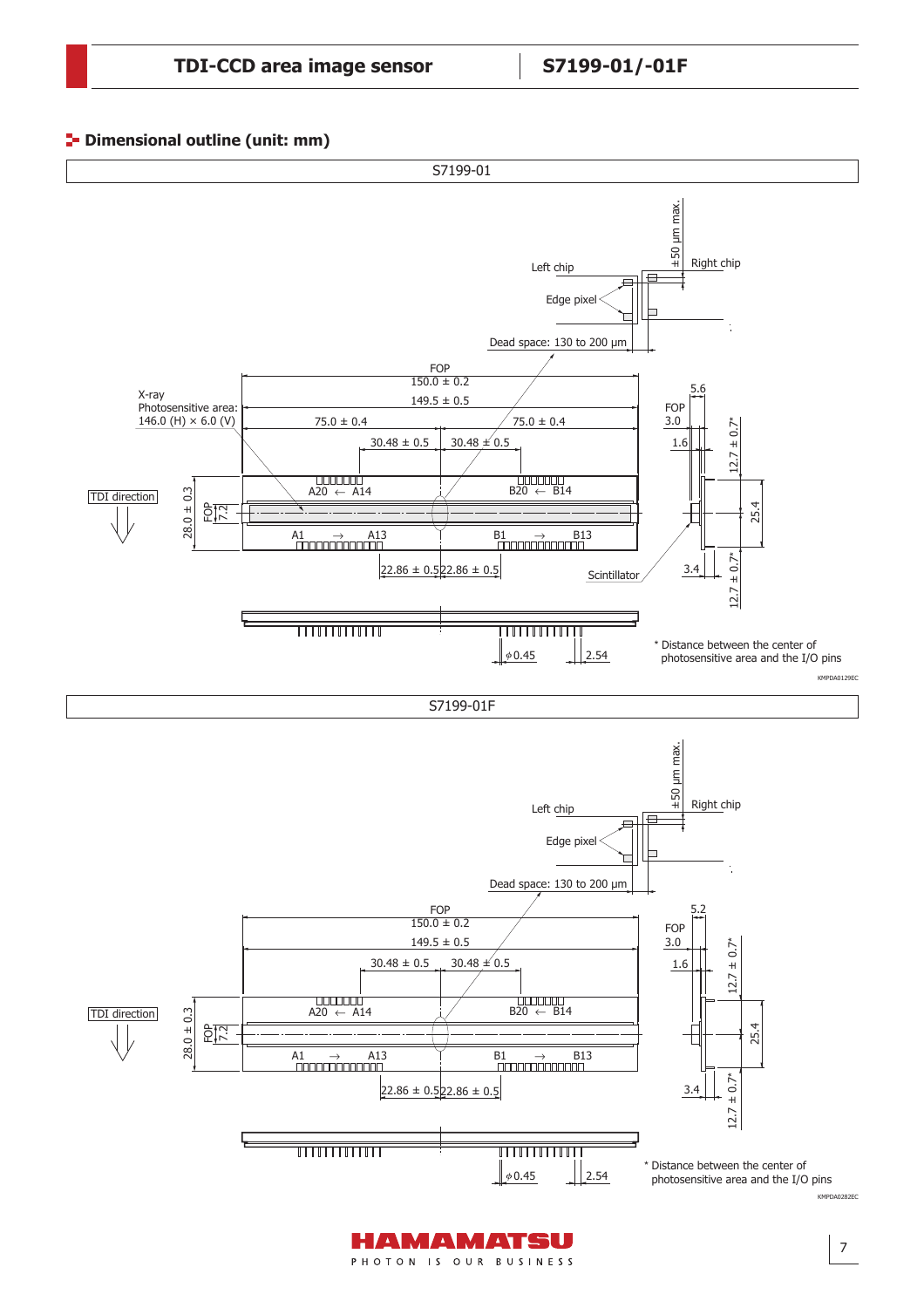#### **P**- Dimensional outline (unit: mm)



AMAMATSU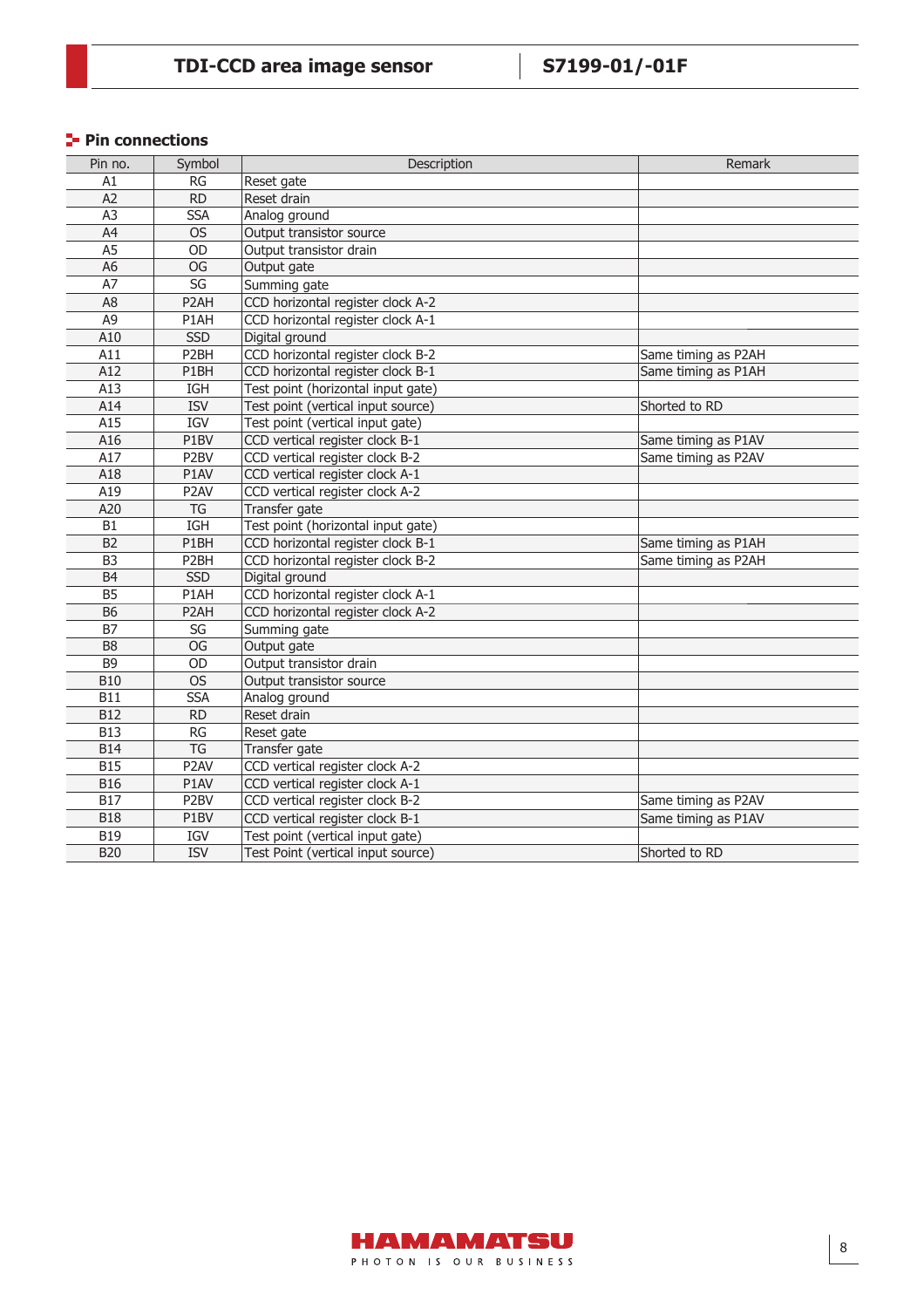# **Pin connections**

| Pin no.        | Symbol                 | Description                        | Remark              |
|----------------|------------------------|------------------------------------|---------------------|
| A1             | RG                     | Reset gate                         |                     |
| A2             | <b>RD</b>              | Reset drain                        |                     |
| A <sub>3</sub> | <b>SSA</b>             | Analog ground                      |                     |
| A4             | <b>OS</b>              | Output transistor source           |                     |
| A <sub>5</sub> | OD                     | Output transistor drain            |                     |
| A <sub>6</sub> | OG                     | Output gate                        |                     |
| A7             | $\overline{\text{SG}}$ | Summing gate                       |                     |
| A <sub>8</sub> | P <sub>2</sub> AH      | CCD horizontal register clock A-2  |                     |
| A <sub>9</sub> | P1AH                   | CCD horizontal register clock A-1  |                     |
| A10            | <b>SSD</b>             | Digital ground                     |                     |
| A11            | P <sub>2</sub> BH      | CCD horizontal register clock B-2  | Same timing as P2AH |
| A12            | P1BH                   | CCD horizontal register clock B-1  | Same timing as P1AH |
| A13            | IGH                    | Test point (horizontal input gate) |                     |
| A14            | <b>ISV</b>             | Test point (vertical input source) | Shorted to RD       |
| A15            | IGV                    | Test point (vertical input gate)   |                     |
| A16            | P1BV                   | CCD vertical register clock B-1    | Same timing as P1AV |
| A17            | P <sub>2</sub> BV      | CCD vertical register clock B-2    | Same timing as P2AV |
| A18            | P1AV                   | CCD vertical register clock A-1    |                     |
| A19            | P <sub>2</sub> AV      | CCD vertical register clock A-2    |                     |
| A20            | TG                     | Transfer gate                      |                     |
| <b>B1</b>      | <b>IGH</b>             | Test point (horizontal input gate) |                     |
| B2             | P1BH                   | CCD horizontal register clock B-1  | Same timing as P1AH |
| B <sub>3</sub> | P <sub>2</sub> BH      | CCD horizontal register clock B-2  | Same timing as P2AH |
| B <sub>4</sub> | <b>SSD</b>             | Digital ground                     |                     |
| B <sub>5</sub> | P1AH                   | CCD horizontal register clock A-1  |                     |
| <b>B6</b>      | P <sub>2</sub> AH      | CCD horizontal register clock A-2  |                     |
| <b>B7</b>      | SG                     | Summing gate                       |                     |
| B <sub>8</sub> | <b>OG</b>              | Output gate                        |                     |
| B <sub>9</sub> | OD                     | Output transistor drain            |                     |
| <b>B10</b>     | <b>OS</b>              | Output transistor source           |                     |
| <b>B11</b>     | <b>SSA</b>             | Analog ground                      |                     |
| <b>B12</b>     | <b>RD</b>              | Reset drain                        |                     |
| <b>B13</b>     | $\overline{\text{RG}}$ | Reset gate                         |                     |
| <b>B14</b>     | TG                     | Transfer gate                      |                     |
| <b>B15</b>     | P <sub>2</sub> AV      | CCD vertical register clock A-2    |                     |
| <b>B16</b>     | P1AV                   | CCD vertical register clock A-1    |                     |
| <b>B17</b>     | P <sub>2</sub> BV      | CCD vertical register clock B-2    | Same timing as P2AV |
| <b>B18</b>     | P1BV                   | CCD vertical register clock B-1    | Same timing as P1AV |
| <b>B19</b>     | IGV                    | Test point (vertical input gate)   |                     |
| <b>B20</b>     | <b>ISV</b>             | Test Point (vertical input source) | Shorted to RD       |